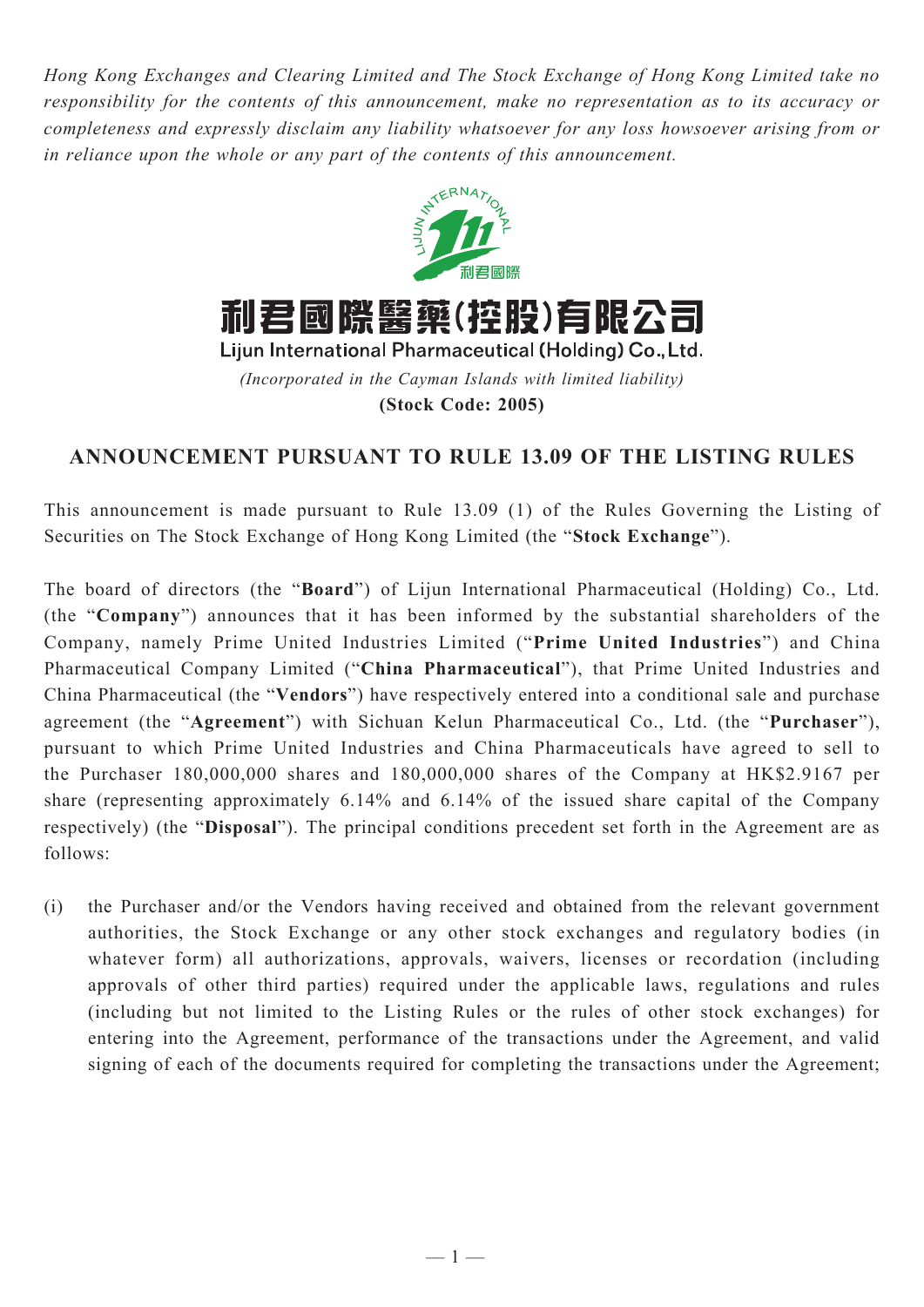*Hong Kong Exchanges and Clearing Limited and The Stock Exchange of Hong Kong Limited take no responsibility for the contents of this announcement, make no representation as to its accuracy or completeness and expressly disclaim any liability whatsoever for any loss howsoever arising from or in reliance upon the whole or any part of the contents of this announcement.*



**(Stock Code: 2005)**

## **ANNOUNCEMENT PURSUANT TO RULE 13.09 OF THE LISTING RULES**

This announcement is made pursuant to Rule 13.09 (1) of the Rules Governing the Listing of Securities on The Stock Exchange of Hong Kong Limited (the "**Stock Exchange**").

The board of directors (the "**Board**") of Lijun International Pharmaceutical (Holding) Co., Ltd. (the "**Company**") announces that it has been informed by the substantial shareholders of the Company, namely Prime United Industries Limited ("**Prime United Industries**") and China Pharmaceutical Company Limited ("**China Pharmaceutical**"), that Prime United Industries and China Pharmaceutical (the "**Vendors**") have respectively entered into a conditional sale and purchase agreement (the "**Agreement**") with Sichuan Kelun Pharmaceutical Co., Ltd. (the "**Purchaser**"), pursuant to which Prime United Industries and China Pharmaceuticals have agreed to sell to the Purchaser 180,000,000 shares and 180,000,000 shares of the Company at HK\$2.9167 per share (representing approximately 6.14% and 6.14% of the issued share capital of the Company respectively) (the "**Disposal**"). The principal conditions precedent set forth in the Agreement are as follows:

(i) the Purchaser and/or the Vendors having received and obtained from the relevant government authorities, the Stock Exchange or any other stock exchanges and regulatory bodies (in whatever form) all authorizations, approvals, waivers, licenses or recordation (including approvals of other third parties) required under the applicable laws, regulations and rules (including but not limited to the Listing Rules or the rules of other stock exchanges) for entering into the Agreement, performance of the transactions under the Agreement, and valid signing of each of the documents required for completing the transactions under the Agreement;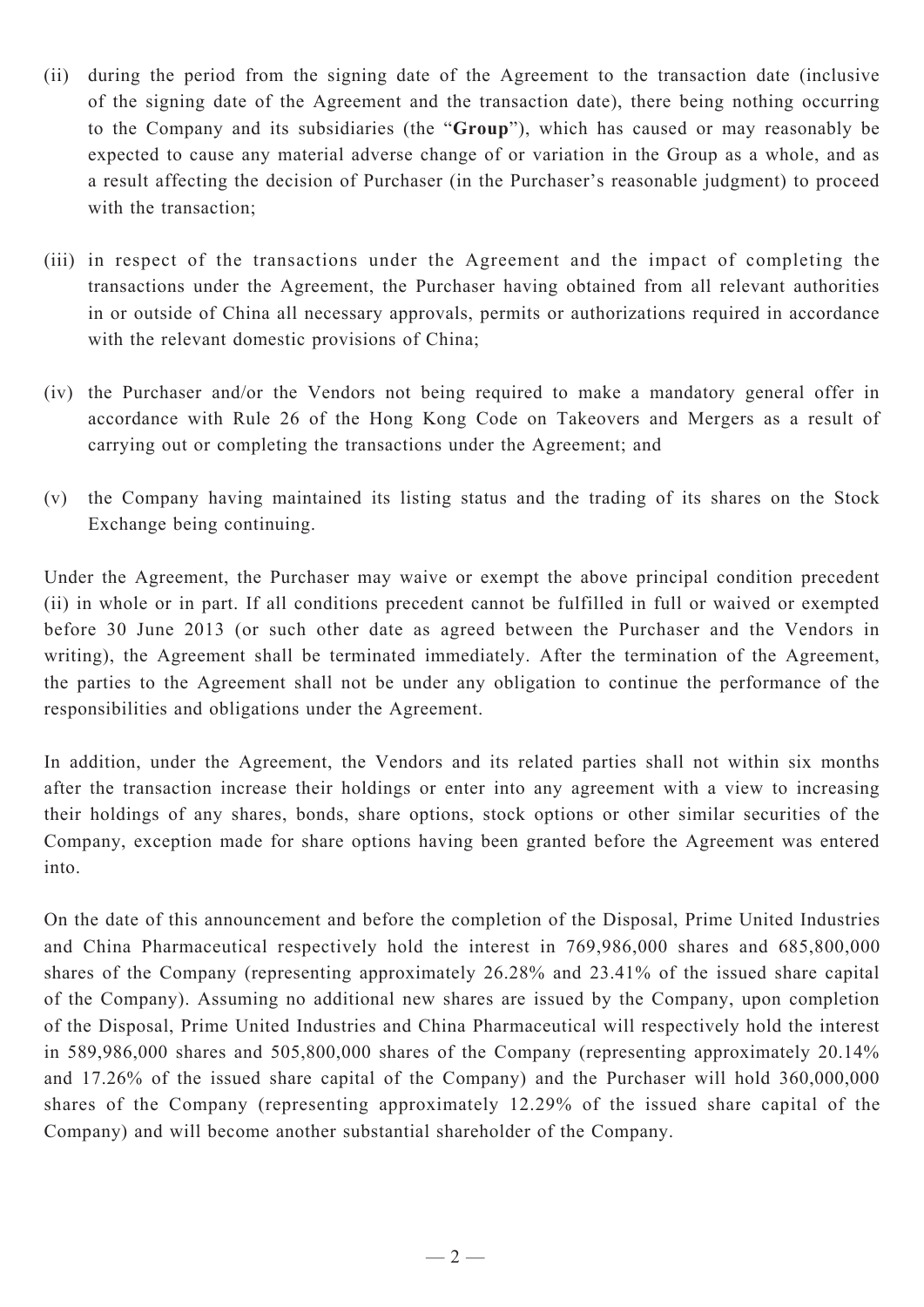- (ii) during the period from the signing date of the Agreement to the transaction date (inclusive of the signing date of the Agreement and the transaction date), there being nothing occurring to the Company and its subsidiaries (the "**Group**"), which has caused or may reasonably be expected to cause any material adverse change of or variation in the Group as a whole, and as a result affecting the decision of Purchaser (in the Purchaser's reasonable judgment) to proceed with the transaction;
- (iii) in respect of the transactions under the Agreement and the impact of completing the transactions under the Agreement, the Purchaser having obtained from all relevant authorities in or outside of China all necessary approvals, permits or authorizations required in accordance with the relevant domestic provisions of China;
- (iv) the Purchaser and/or the Vendors not being required to make a mandatory general offer in accordance with Rule 26 of the Hong Kong Code on Takeovers and Mergers as a result of carrying out or completing the transactions under the Agreement; and
- (v) the Company having maintained its listing status and the trading of its shares on the Stock Exchange being continuing.

Under the Agreement, the Purchaser may waive or exempt the above principal condition precedent (ii) in whole or in part. If all conditions precedent cannot be fulfilled in full or waived or exempted before 30 June 2013 (or such other date as agreed between the Purchaser and the Vendors in writing), the Agreement shall be terminated immediately. After the termination of the Agreement, the parties to the Agreement shall not be under any obligation to continue the performance of the responsibilities and obligations under the Agreement.

In addition, under the Agreement, the Vendors and its related parties shall not within six months after the transaction increase their holdings or enter into any agreement with a view to increasing their holdings of any shares, bonds, share options, stock options or other similar securities of the Company, exception made for share options having been granted before the Agreement was entered into.

On the date of this announcement and before the completion of the Disposal, Prime United Industries and China Pharmaceutical respectively hold the interest in 769,986,000 shares and 685,800,000 shares of the Company (representing approximately 26.28% and 23.41% of the issued share capital of the Company). Assuming no additional new shares are issued by the Company, upon completion of the Disposal, Prime United Industries and China Pharmaceutical will respectively hold the interest in 589,986,000 shares and 505,800,000 shares of the Company (representing approximately 20.14% and 17.26% of the issued share capital of the Company) and the Purchaser will hold 360,000,000 shares of the Company (representing approximately 12.29% of the issued share capital of the Company) and will become another substantial shareholder of the Company.